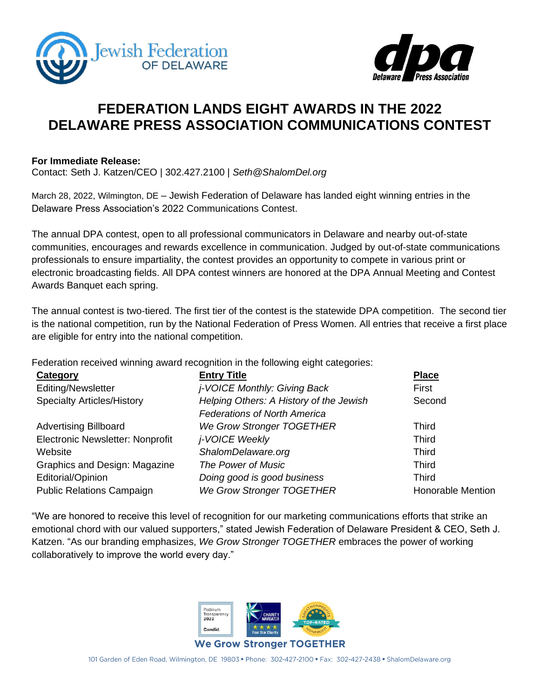



## **FEDERATION LANDS EIGHT AWARDS IN THE 2022 DELAWARE PRESS ASSOCIATION COMMUNICATIONS CONTEST**

## **For Immediate Release:**

Contact: Seth J. Katzen/CEO | 302.427.2100 | *[Seth@ShalomDel.org](mailto:Seth@ShalomDel.org)*

March 28, 2022, Wilmington, DE – Jewish Federation of Delaware has landed eight winning entries in the Delaware Press Association's 2022 Communications Contest.

The annual DPA contest, open to all professional communicators in Delaware and nearby out-of-state communities, encourages and rewards excellence in communication. Judged by out-of-state communications professionals to ensure impartiality, the contest provides an opportunity to compete in various print or electronic broadcasting fields. All DPA contest winners are honored at the DPA Annual Meeting and Contest Awards Banquet each spring.

The annual contest is two-tiered. The first tier of the contest is the statewide DPA competition. The second tier is the national competition, run by the National Federation of Press Women. All entries that receive a first place are eligible for entry into the national competition.

Federation received winning award recognition in the following eight categories:

| Category                          | <b>Entry Title</b>                      | <b>Place</b>             |
|-----------------------------------|-----------------------------------------|--------------------------|
| Editing/Newsletter                | <i>j</i> -VOICE Monthly: Giving Back    | First                    |
| <b>Specialty Articles/History</b> | Helping Others: A History of the Jewish | Second                   |
|                                   | <b>Federations of North America</b>     |                          |
| <b>Advertising Billboard</b>      | We Grow Stronger TOGETHER               | Third                    |
| Electronic Newsletter: Nonprofit  | j-VOICE Weekly                          | <b>Third</b>             |
| Website                           | ShalomDelaware.org                      | <b>Third</b>             |
| Graphics and Design: Magazine     | The Power of Music                      | <b>Third</b>             |
| Editorial/Opinion                 | Doing good is good business             | <b>Third</b>             |
| <b>Public Relations Campaign</b>  | We Grow Stronger TOGETHER               | <b>Honorable Mention</b> |

"We are honored to receive this level of recognition for our marketing communications efforts that strike an emotional chord with our valued supporters," stated Jewish Federation of Delaware President & CEO, Seth J. Katzen. "As our branding emphasizes, *We Grow Stronger TOGETHER* embraces the power of working collaboratively to improve the world every day."